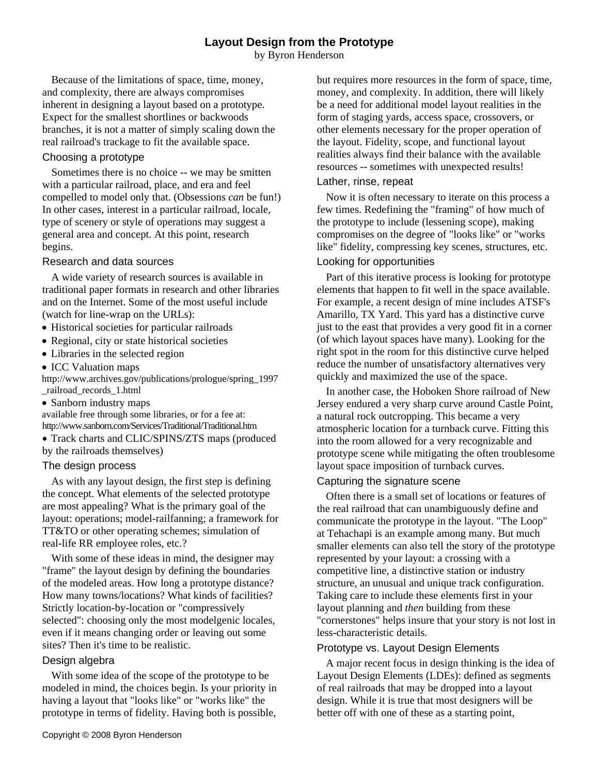# **Layout Design from the Prototype**

by Byron Henderson

Because of the limitations of space, time, money, and complexity, there are always compromises inherent in designing a layout based on a prototype. Expect for the smallest shortlines or backwoods branches, it is not a matter of simply scaling down the real railroad's trackage to fit the available space.

#### Choosing a prototype

Sometimes there is no choice -- we may be smitten with a particular railroad, place, and era and feel compelled to model only that. (Obsessions *can* be fun!) In other cases, interest in a particular railroad, locale, type of scenery or style of operations may suggest a general area and concept. At this point, research begins.

## Research and data sources

A wide variety of research sources is available in traditional paper formats in research and other libraries and on the Internet. Some of the most useful include (watch for line-wrap on the URLs):

- Historical societies for particular railroads
- Regional, city or state historical societies
- Libraries in the selected region
- ICC Valuation maps

http://www.archives.gov/publications/prologue/spring\_1997 \_railroad\_records\_1.html

• Sanborn industry maps

available free through some libraries, or for a fee at: http://www.sanborn.com/Services/Traditional/Traditional.htm

 Track charts and CLIC/SPINS/ZTS maps (produced by the railroads themselves)

## The design process

As with any layout design, the first step is defining the concept. What elements of the selected prototype are most appealing? What is the primary goal of the layout: operations; model-railfanning; a framework for TT&TO or other operating schemes; simulation of real-life RR employee roles, etc.?

With some of these ideas in mind, the designer may "frame" the layout design by defining the boundaries of the modeled areas. How long a prototype distance? How many towns/locations? What kinds of facilities? Strictly location-by-location or "compressively selected": choosing only the most modelgenic locales, even if it means changing order or leaving out some sites? Then it's time to be realistic.

## Design algebra

With some idea of the scope of the prototype to be modeled in mind, the choices begin. Is your priority in having a layout that "looks like" or "works like" the prototype in terms of fidelity. Having both is possible,

but requires more resources in the form of space, time, money, and complexity. In addition, there will likely be a need for additional model layout realities in the form of staging yards, access space, crossovers, or other elements necessary for the proper operation of the layout. Fidelity, scope, and functional layout realities always find their balance with the available resources -- sometimes with unexpected results!

#### Lather, rinse, repeat

Now it is often necessary to iterate on this process a few times. Redefining the "framing" of how much of the prototype to include (lessening scope), making compromises on the degree of "looks like" or "works like" fidelity, compressing key scenes, structures, etc.

## Looking for opportunities

Part of this iterative process is looking for prototype elements that happen to fit well in the space available. For example, a recent design of mine includes ATSF's Amarillo, TX Yard. This yard has a distinctive curve just to the east that provides a very good fit in a corner (of which layout spaces have many). Looking for the right spot in the room for this distinctive curve helped reduce the number of unsatisfactory alternatives very quickly and maximized the use of the space.

In another case, the Hoboken Shore railroad of New Jersey endured a very sharp curve around Castle Point, a natural rock outcropping. This became a very atmospheric location for a turnback curve. Fitting this into the room allowed for a very recognizable and prototype scene while mitigating the often troublesome layout space imposition of turnback curves.

## Capturing the signature scene

Often there is a small set of locations or features of the real railroad that can unambiguously define and communicate the prototype in the layout. "The Loop" at Tehachapi is an example among many. But much smaller elements can also tell the story of the prototype represented by your layout: a crossing with a competitive line, a distinctive station or industry structure, an unusual and unique track configuration. Taking care to include these elements first in your layout planning and *then* building from these "cornerstones" helps insure that your story is not lost in less-characteristic details.

## Prototype vs. Layout Design Elements

A major recent focus in design thinking is the idea of Layout Design Elements (LDEs): defined as segments of real railroads that may be dropped into a layout design. While it is true that most designers will be better off with one of these as a starting point,